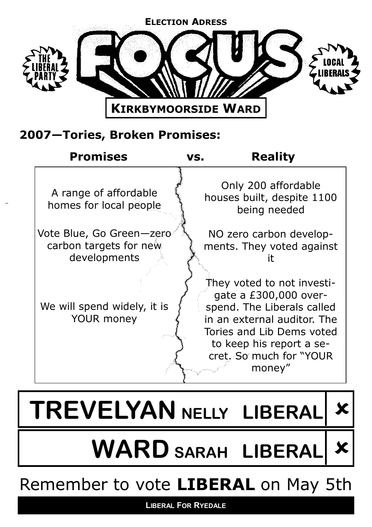

# **2007—Tories, Broken Promises:**

| <b>Promises</b>                                                    | <b>Reality</b><br>VS.                                                                                                                                                            |
|--------------------------------------------------------------------|----------------------------------------------------------------------------------------------------------------------------------------------------------------------------------|
| A range of affordable<br>homes for local people                    | Only 200 affordable<br>houses built, despite 1100<br>being needed                                                                                                                |
| Vote Blue, Go Green-zero<br>carbon targets for new<br>developments | NO zero carbon develop-<br>ments. They voted against<br>They voted to not investi-                                                                                               |
| We will spend widely, it is<br><b>YOUR money</b>                   | gate a £300,000 over-<br>spend. The Liberals called<br>in an external auditor. The<br>Tories and Lib Dems voted<br>to keep his report a se-<br>cret. So much for "YOUR<br>money" |



**LIBERAL FOR RYEDALE**